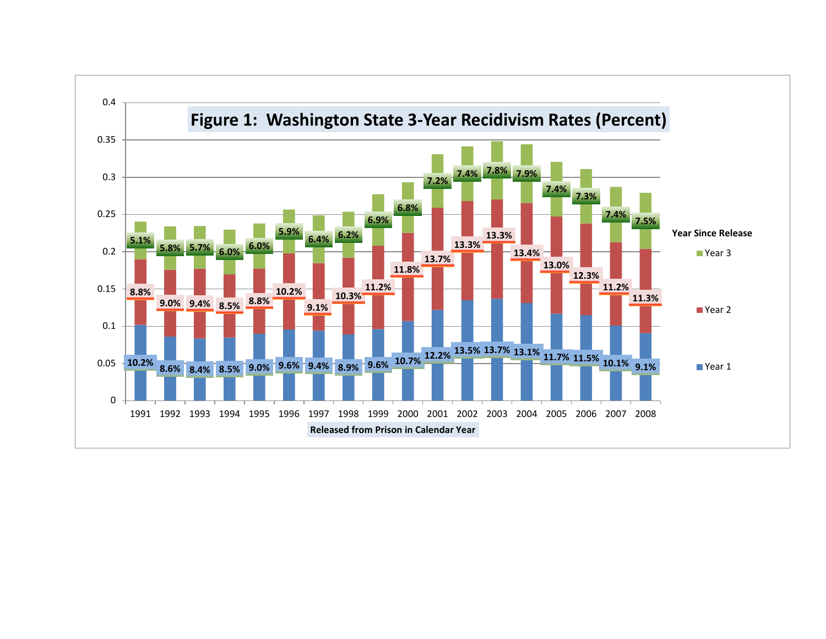